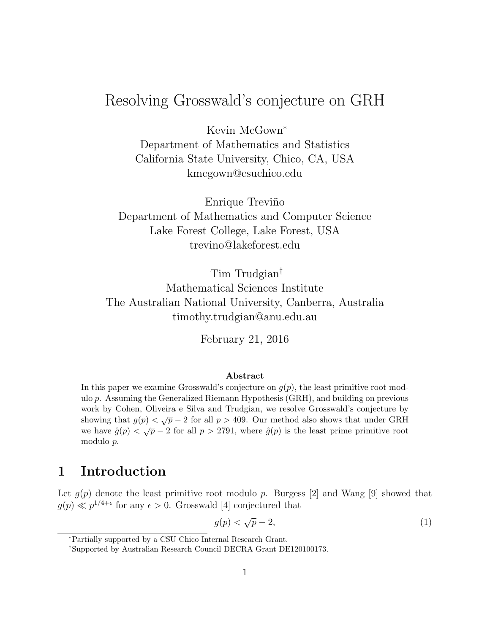# Resolving Grosswald's conjecture on GRH

Kevin McGown<sup>∗</sup> Department of Mathematics and Statistics California State University, Chico, CA, USA kmcgown@csuchico.edu

Enrique Treviño Department of Mathematics and Computer Science Lake Forest College, Lake Forest, USA trevino@lakeforest.edu

Tim Trudgian† Mathematical Sciences Institute The Australian National University, Canberra, Australia timothy.trudgian@anu.edu.au

February 21, 2016

#### Abstract

In this paper we examine Grosswald's conjecture on  $q(p)$ , the least primitive root modulo p. Assuming the Generalized Riemann Hypothesis (GRH), and building on previous work by Cohen, Oliveira e Silva and Trudgian, we resolve Grosswald's conjecture by showing that  $g(p) < \sqrt{p} - 2$  for all  $p > 409$ . Our method also shows that under GRH we have  $\hat{g}(p) < \sqrt{p} - 2$  for all  $p > 2791$ , where  $\hat{g}(p)$  is the least prime primitive root modulo p.

### 1 Introduction

Let  $g(p)$  denote the least primitive root modulo p. Burgess [2] and Wang [9] showed that  $g(p) \ll p^{1/4+\epsilon}$  for any  $\epsilon > 0$ . Grosswald [4] conjectured that

$$
g(p) < \sqrt{p} - 2,\tag{1}
$$

<sup>∗</sup>Partially supported by a CSU Chico Internal Research Grant.

<sup>†</sup>Supported by Australian Research Council DECRA Grant DE120100173.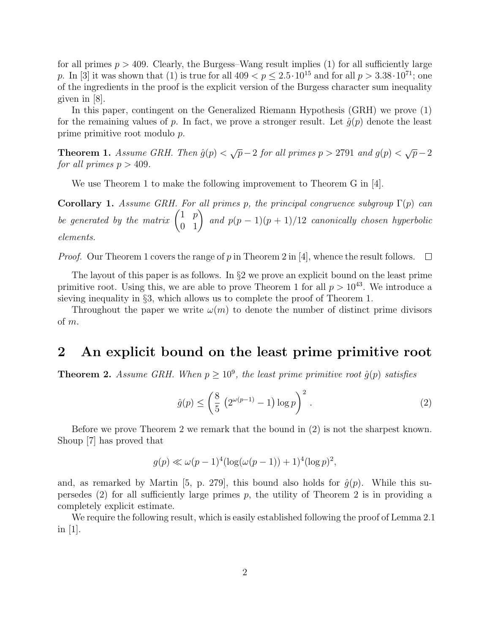for all primes  $p > 409$ . Clearly, the Burgess–Wang result implies (1) for all sufficiently large p. In [3] it was shown that (1) is true for all  $409 < p \le 2.5 \cdot 10^{15}$  and for all  $p > 3.38 \cdot 10^{71}$ ; one of the ingredients in the proof is the explicit version of the Burgess character sum inequality given in [8].

In this paper, contingent on the Generalized Riemann Hypothesis (GRH) we prove (1) for the remaining values of p. In fact, we prove a stronger result. Let  $\hat{g}(p)$  denote the least prime primitive root modulo p.

**Theorem 1.** Assume GRH. Then  $\hat{g}(p) < \sqrt{p} - 2$  for all primes  $p > 2791$  and  $g(p) < \sqrt{p} - 2$ for all primes  $p > 409$ .

We use Theorem 1 to make the following improvement to Theorem G in [4].

Corollary 1. Assume GRH. For all primes p, the principal congruence subgroup  $\Gamma(p)$  can be generated by the matrix  $\begin{pmatrix} 1 & p \\ 0 & 1 \end{pmatrix}$  and  $p(p-1)(p+1)/12$  canonically chosen hyperbolic elements.

*Proof.* Our Theorem 1 covers the range of p in Theorem 2 in [4], whence the result follows.  $\Box$ 

The layout of this paper is as follows. In  $\S2$  we prove an explicit bound on the least prime primitive root. Using this, we are able to prove Theorem 1 for all  $p > 10^{43}$ . We introduce a sieving inequality in §3, which allows us to complete the proof of Theorem 1.

Throughout the paper we write  $\omega(m)$  to denote the number of distinct prime divisors of m.

## 2 An explicit bound on the least prime primitive root

**Theorem 2.** Assume GRH. When  $p \geq 10^9$ , the least prime primitive root  $\hat{g}(p)$  satisfies

$$
\hat{g}(p) \le \left(\frac{8}{5} \left(2^{\omega(p-1)} - 1\right) \log p\right)^2.
$$
 (2)

Before we prove Theorem 2 we remark that the bound in (2) is not the sharpest known. Shoup [7] has proved that

$$
g(p) \ll \omega(p-1)^4(\log(\omega(p-1)) + 1)^4(\log p)^2
$$
,

and, as remarked by Martin [5, p. 279], this bound also holds for  $\hat{g}(p)$ . While this supersedes  $(2)$  for all sufficiently large primes p, the utility of Theorem 2 is in providing a completely explicit estimate.

We require the following result, which is easily established following the proof of Lemma 2.1 in  $|1|$ .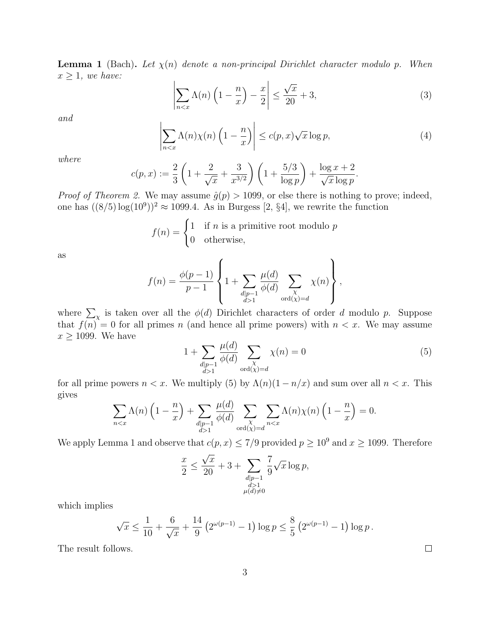**Lemma 1** (Bach). Let  $\chi(n)$  denote a non-principal Dirichlet character modulo p. When  $x \geq 1$ , we have:

$$
\left| \sum_{n < x} \Lambda(n) \left( 1 - \frac{n}{x} \right) - \frac{x}{2} \right| \le \frac{\sqrt{x}}{20} + 3,\tag{3}
$$

and

$$
\left| \sum_{n < x} \Lambda(n) \chi(n) \left( 1 - \frac{n}{x} \right) \right| \le c(p, x) \sqrt{x} \log p,\tag{4}
$$

where

$$
c(p,x) := \frac{2}{3} \left( 1 + \frac{2}{\sqrt{x}} + \frac{3}{x^{3/2}} \right) \left( 1 + \frac{5/3}{\log p} \right) + \frac{\log x + 2}{\sqrt{x} \log p}.
$$

*Proof of Theorem 2.* We may assume  $\hat{g}(p) > 1099$ , or else there is nothing to prove; indeed, one has  $((8/5) \log(10^9))^2 \approx 1099.4$ . As in Burgess [2, §4], we rewrite the function

$$
f(n) = \begin{cases} 1 & \text{if } n \text{ is a primitive root modulo } p \\ 0 & \text{otherwise,} \end{cases}
$$

as

$$
f(n) = \frac{\phi(p-1)}{p-1} \left\{ 1 + \sum_{\substack{d|p-1 \ d>1}} \frac{\mu(d)}{\phi(d)} \sum_{\substack{\chi \text{odd}(\chi) = d}} \chi(n) \right\},\,
$$

where  $\sum_{\chi}$  is taken over all the  $\phi(d)$  Dirichlet characters of order d modulo p. Suppose that  $f(n) = 0$  for all primes n (and hence all prime powers) with  $n < x$ . We may assume  $x \geq 1099$  . We have  $\sqrt{a}$ 

$$
1 + \sum_{\substack{d|p-1\\d>1}} \frac{\mu(d)}{\phi(d)} \sum_{\substack{\chi\\ \text{ord}(\chi) = d}} \chi(n) = 0
$$
 (5)

for all prime powers  $n < x$ . We multiply (5) by  $\Lambda(n)(1 - n/x)$  and sum over all  $n < x$ . This gives  $\overline{d}$ 

$$
\sum_{n < x} \Lambda(n) \left( 1 - \frac{n}{x} \right) + \sum_{\substack{d \mid p-1 \\ d > 1}} \frac{\mu(d)}{\phi(d)} \sum_{\substack{\chi \\ \text{ord}(\chi) = d}} \sum_{n < x} \Lambda(n) \chi(n) \left( 1 - \frac{n}{x} \right) = 0.
$$

We apply Lemma 1 and observe that  $c(p, x) \le 7/9$  provided  $p \ge 10^9$  and  $x \ge 1099$ . Therefore

$$
\frac{x}{2} \le \frac{\sqrt{x}}{20} + 3 + \sum_{\substack{d|p-1 \\ d>1 \\ \mu(d)\neq 0}} \frac{7}{9}\sqrt{x} \log p,
$$

which implies

$$
\sqrt{x} \le \frac{1}{10} + \frac{6}{\sqrt{x}} + \frac{14}{9} \left( 2^{\omega(p-1)} - 1 \right) \log p \le \frac{8}{5} \left( 2^{\omega(p-1)} - 1 \right) \log p.
$$

The result follows.

 $\Box$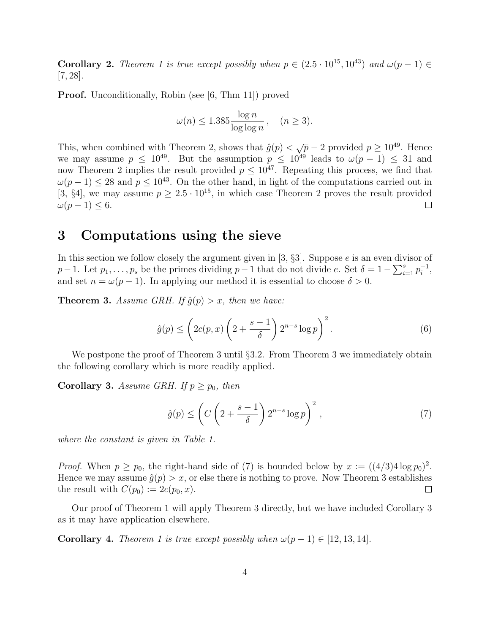**Corollary 2.** Theorem 1 is true except possibly when  $p \in (2.5 \cdot 10^{15}, 10^{43})$  and  $\omega(p-1) \in$ [7, 28].

**Proof.** Unconditionally, Robin (see [6, Thm 11]) proved

$$
\omega(n) \le 1.385 \frac{\log n}{\log \log n}, \quad (n \ge 3).
$$

This, when combined with Theorem 2, shows that  $\hat{g}(p) < \sqrt{p} - 2$  provided  $p \ge 10^{49}$ . Hence we may assume  $p \leq 10^{49}$ . But the assumption  $p \leq 10^{49}$  leads to  $\omega(p-1) \leq 31$  and now Theorem 2 implies the result provided  $p \leq 10^{47}$ . Repeating this process, we find that  $\omega(p-1) \leq 28$  and  $p \leq 10^{43}$ . On the other hand, in light of the computations carried out in [3, §4], we may assume  $p \geq 2.5 \cdot 10^{15}$ , in which case Theorem 2 proves the result provided  $\omega(p-1) \leq 6.$  $\Box$ 

### 3 Computations using the sieve

In this section we follow closely the argument given in  $[3, §3]$ . Suppose e is an even divisor of  $p-1$ . Let  $p_1, \ldots, p_s$  be the primes dividing  $p-1$  that do not divide e. Set  $\delta = 1 - \sum_{i=1}^s p_i^{-1}$  $\frac{-1}{i}$ , and set  $n = \omega(p-1)$ . In applying our method it is essential to choose  $\delta > 0$ .

**Theorem 3.** Assume GRH. If  $\hat{q}(p) > x$ , then we have:

$$
\hat{g}(p) \le \left(2c(p,x)\left(2 + \frac{s-1}{\delta}\right)2^{n-s}\log p\right)^2. \tag{6}
$$

We postpone the proof of Theorem 3 until  $\S 3.2$ . From Theorem 3 we immediately obtain the following corollary which is more readily applied.

**Corollary 3.** Assume GRH. If  $p \geq p_0$ , then

$$
\hat{g}(p) \le \left( C \left( 2 + \frac{s-1}{\delta} \right) 2^{n-s} \log p \right)^2, \tag{7}
$$

where the constant is given in Table 1.

*Proof.* When  $p \geq p_0$ , the right-hand side of (7) is bounded below by  $x := ((4/3)4 \log p_0)^2$ . Hence we may assume  $\hat{g}(p) > x$ , or else there is nothing to prove. Now Theorem 3 establishes the result with  $C(p_0) := 2c(p_0, x)$ .  $\Box$ 

Our proof of Theorem 1 will apply Theorem 3 directly, but we have included Corollary 3 as it may have application elsewhere.

Corollary 4. Theorem 1 is true except possibly when  $\omega(p-1) \in [12, 13, 14]$ .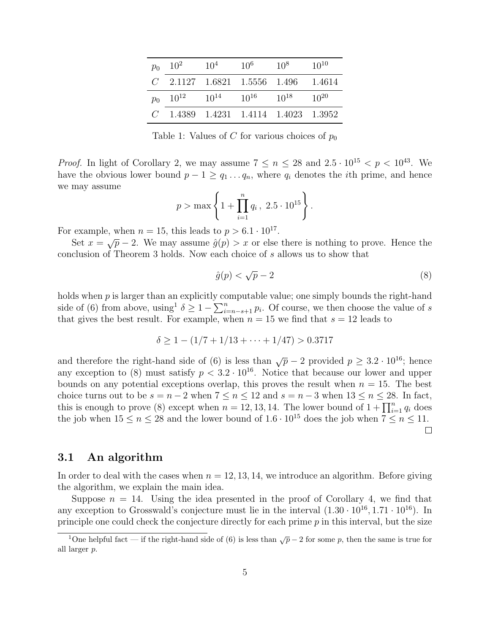| $p_0$ | 10 <sup>2</sup> | $10^{4}$  | $10^{6}$                               | $10^{8}$  | $10^{10}$ |
|-------|-----------------|-----------|----------------------------------------|-----------|-----------|
|       |                 |           | $C$ 2.1127 1.6821 1.5556 1.496 1.4614  |           |           |
|       | $p_0$ $10^{12}$ | $10^{14}$ | $10^{16}$                              | $10^{18}$ | $10^{20}$ |
|       |                 |           | $C$ 1.4389 1.4231 1.4114 1.4023 1.3952 |           |           |

Table 1: Values of C for various choices of  $p_0$ 

*Proof.* In light of Corollary 2, we may assume  $7 \le n \le 28$  and  $2.5 \cdot 10^{15} < p < 10^{43}$ . We have the obvious lower bound  $p - 1 \ge q_1 \ldots q_n$ , where  $q_i$  denotes the *i*th prime, and hence we may assume

$$
p > \max \left\{ 1 + \prod_{i=1}^{n} q_i, 2.5 \cdot 10^{15} \right\}.
$$

For example, when  $n = 15$ , this leads to  $p > 6.1 \cdot 10^{17}$ .

Set  $x = \sqrt{p} - 2$ . We may assume  $\hat{g}(p) > x$  or else there is nothing to prove. Hence the conclusion of Theorem 3 holds. Now each choice of s allows us to show that

$$
\hat{g}(p) < \sqrt{p} - 2\tag{8}
$$

holds when  $p$  is larger than an explicitly computable value; one simply bounds the right-hand side of (6) from above, using<sup>1</sup>  $\delta \geq 1 - \sum_{i=n-s+1}^{n} p_i$ . Of course, we then choose the value of s that gives the best result. For example, when  $n = 15$  we find that  $s = 12$  leads to

$$
\delta \ge 1 - (1/7 + 1/13 + \dots + 1/47) > 0.3717
$$

and therefore the right-hand side of (6) is less than  $\sqrt{p} - 2$  provided  $p \ge 3.2 \cdot 10^{16}$ ; hence any exception to (8) must satisfy  $p < 3.2 \cdot 10^{16}$ . Notice that because our lower and upper bounds on any potential exceptions overlap, this proves the result when  $n = 15$ . The best choice turns out to be  $s = n - 2$  when  $7 \le n \le 12$  and  $s = n - 3$  when  $13 \le n \le 28$ . In fact, this is enough to prove (8) except when  $n = 12, 13, 14$ . The lower bound of  $1 + \prod_{i=1}^{n} q_i$  does the job when  $15 \le n \le 28$  and the lower bound of  $1.6 \cdot 10^{15}$  does the job when  $7 \le n \le 11$ .  $\Box$ 

#### 3.1 An algorithm

In order to deal with the cases when  $n = 12, 13, 14$ , we introduce an algorithm. Before giving the algorithm, we explain the main idea.

Suppose  $n = 14$ . Using the idea presented in the proof of Corollary 4, we find that any exception to Grosswald's conjecture must lie in the interval  $(1.30 \cdot 10^{16}, 1.71 \cdot 10^{16})$ . In principle one could check the conjecture directly for each prime  $p$  in this interval, but the size

<sup>&</sup>lt;sup>1</sup>One helpful fact — if the right-hand side of (6) is less than  $\sqrt{p}$  – 2 for some p, then the same is true for all larger p.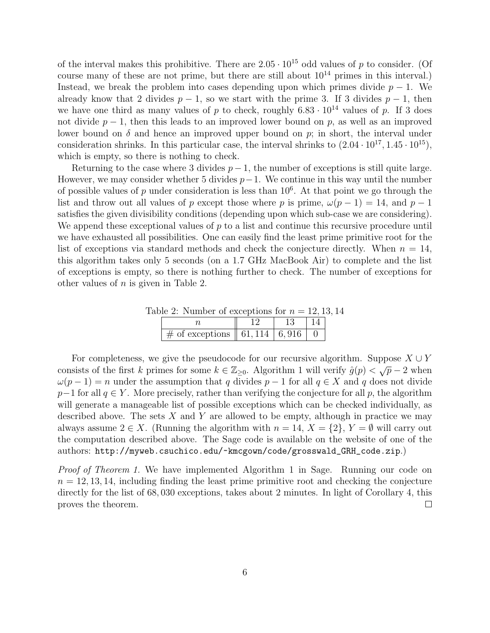of the interval makes this prohibitive. There are  $2.05 \cdot 10^{15}$  odd values of p to consider. (Of course many of these are not prime, but there are still about  $10^{14}$  primes in this interval.) Instead, we break the problem into cases depending upon which primes divide  $p - 1$ . We already know that 2 divides  $p-1$ , so we start with the prime 3. If 3 divides  $p-1$ , then we have one third as many values of p to check, roughly  $6.83 \cdot 10^{14}$  values of p. If 3 does not divide  $p-1$ , then this leads to an improved lower bound on p, as well as an improved lower bound on  $\delta$  and hence an improved upper bound on  $p$ ; in short, the interval under consideration shrinks. In this particular case, the interval shrinks to  $(2.04 \cdot 10^{17}, 1.45 \cdot 10^{15})$ , which is empty, so there is nothing to check.

Returning to the case where 3 divides  $p-1$ , the number of exceptions is still quite large. However, we may consider whether 5 divides  $p-1$ . We continue in this way until the number of possible values of p under consideration is less than  $10^6$ . At that point we go through the list and throw out all values of p except those where p is prime,  $\omega(p-1) = 14$ , and  $p-1$ satisfies the given divisibility conditions (depending upon which sub-case we are considering). We append these exceptional values of  $p$  to a list and continue this recursive procedure until we have exhausted all possibilities. One can easily find the least prime primitive root for the list of exceptions via standard methods and check the conjecture directly. When  $n = 14$ , this algorithm takes only 5 seconds (on a 1.7 GHz MacBook Air) to complete and the list of exceptions is empty, so there is nothing further to check. The number of exceptions for other values of  $n$  is given in Table 2.

| Table 2: Number of exceptions for $n = 12, 13, 14$ |    |            |  |
|----------------------------------------------------|----|------------|--|
|                                                    | 13 | $\vert$ 14 |  |
| # of exceptions $\sqrt{61,114}$ 6,916 0            |    |            |  |

For completeness, we give the pseudocode for our recursive algorithm. Suppose  $X \cup Y$ consists of the first k primes for some  $k \in \mathbb{Z}_{\geq 0}$ . Algorithm 1 will verify  $\hat{g}(p) < \sqrt{p} - 2$  when  $\omega(p-1) = n$  under the assumption that q divides  $p-1$  for all  $q \in X$  and q does not divide  $p-1$  for all  $q \in Y$ . More precisely, rather than verifying the conjecture for all p, the algorithm will generate a manageable list of possible exceptions which can be checked individually, as described above. The sets  $X$  and  $Y$  are allowed to be empty, although in practice we may always assume  $2 \in X$ . (Running the algorithm with  $n = 14$ ,  $X = \{2\}$ ,  $Y = \emptyset$  will carry out the computation described above. The Sage code is available on the website of one of the authors: http://myweb.csuchico.edu/~kmcgown/code/grosswald\_GRH\_code.zip.)

Proof of Theorem 1. We have implemented Algorithm 1 in Sage. Running our code on  $n = 12, 13, 14$ , including finding the least prime primitive root and checking the conjecture directly for the list of 68, 030 exceptions, takes about 2 minutes. In light of Corollary 4, this proves the theorem.  $\Box$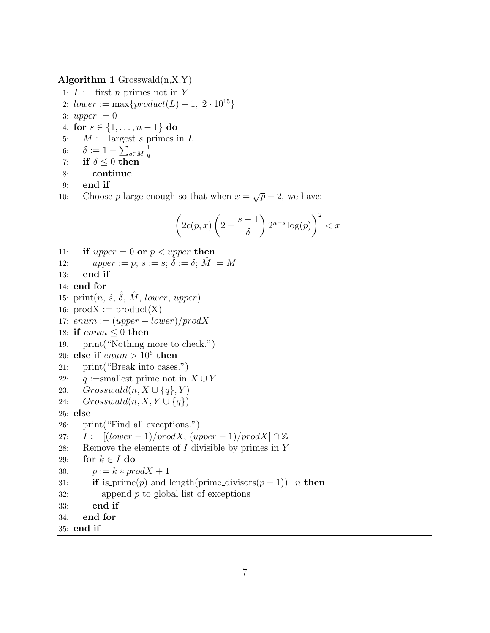Algorithm 1 Grosswald $(n, X, Y)$ 

```
1: L := first n primes not in Y
```
- 2:  $lower := max\{product(L) + 1, 2 \cdot 10^{15}\}$
- 3: upper  $:= 0$

4: for  $s \in \{1, ..., n-1\}$  do

- 5:  $M := \text{largest } s \text{ primes in } L$
- 6:  $\delta := 1 \sum_{q \in M}$ 1 q
- 7: if  $\delta \leq 0$  then
- 8: continue
- 9: end if
- 10: Choose p large enough so that when  $x = \sqrt{p} 2$ , we have:

$$
\left(2c(p,x)\left(2+\frac{s-1}{\delta}\right)2^{n-s}\log(p)\right)^2 < x
$$

- 11: if upper = 0 or  $p < upper$  then
- 12: upper := p;  $\hat{s} := s$ ;  $\hat{\delta} := \delta$ ;  $\hat{M} := M$
- 13: end if
- 14: end for
- 15:  $print(n, \hat{s}, \hat{\delta}, \hat{M}, lower, upper)$
- 16:  $prodX := product(X)$
- 17:  $enum := (upper lower)/prod X$
- 18: if  $enum \leq 0$  then
- 19: print("Nothing more to check.")
- 20: else if  $enum > 10^6$  then
- 21: print("Break into cases.")
- 22: q :=smallest prime not in  $X \cup Y$
- 23:  $Grosswald(n, X \cup \{q\}, Y)$
- 24:  $Grosswald(n, X, Y \cup \{q\})$

#### 25: else

26: print("Find all exceptions.") 27:  $I := [(lower-1)/prodX, (upper-1)/prodX] \cap \mathbb{Z}$ 28: Remove the elements of  $I$  divisible by primes in  $Y$ 29: for  $k \in I$  do 30:  $p := k * prodX + 1$ 31: **if** is\_prime(p) and length(prime\_divisors(p-1))=n then  $32:$  append p to global list of exceptions 33: end if 34: end for 35: end if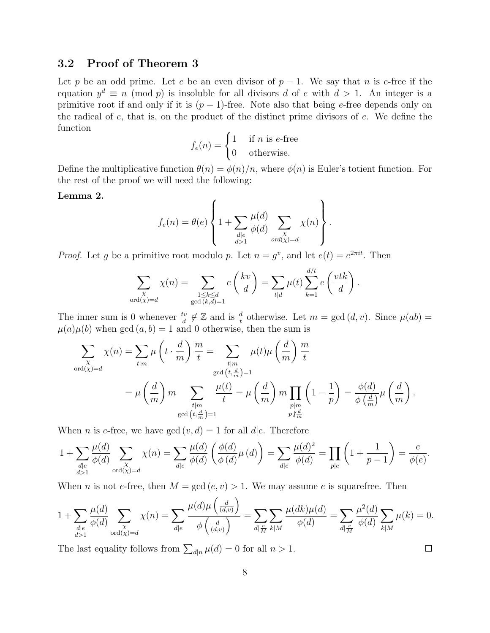### 3.2 Proof of Theorem 3

Let p be an odd prime. Let e be an even divisor of  $p-1$ . We say that n is e-free if the equation  $y^d \equiv n \pmod{p}$  is insoluble for all divisors d of e with  $d > 1$ . An integer is a primitive root if and only if it is  $(p-1)$ -free. Note also that being e-free depends only on the radical of  $e$ , that is, on the product of the distinct prime divisors of  $e$ . We define the function

$$
f_e(n) = \begin{cases} 1 & \text{if } n \text{ is } e \text{-free} \\ 0 & \text{otherwise.} \end{cases}
$$

Define the multiplicative function  $\theta(n) = \phi(n)/n$ , where  $\phi(n)$  is Euler's totient function. For the rest of the proof we will need the following:

#### Lemma 2.

$$
f_e(n) = \theta(e) \left\{ 1 + \sum_{\substack{d \mid e \\ d>1}} \frac{\mu(d)}{\phi(d)} \sum_{\substack{\chi \\ ord(\chi) = d}} \chi(n) \right\}.
$$

*Proof.* Let g be a primitive root modulo p. Let  $n = g^v$ , and let  $e(t) = e^{2\pi i t}$ . Then

$$
\sum_{\substack{\chi \text{ord}(\chi) = d}} \chi(n) = \sum_{\substack{1 \leq k \leq d \\ \gcd(k,d) = 1}} e\left(\frac{kv}{d}\right) = \sum_{t|d} \mu(t) \sum_{k=1}^{d/t} e\left(\frac{vtk}{d}\right).
$$

The inner sum is 0 whenever  $\frac{dv}{d} \notin \mathbb{Z}$  and is  $\frac{d}{t}$  otherwise. Let  $m = \gcd(d, v)$ . Since  $\mu(ab) =$  $\mu(a)\mu(b)$  when gcd  $(a, b) = 1$  and 0 otherwise, then the sum is

$$
\sum_{\substack{\chi \text{ord}(\chi) = d}} \chi(n) = \sum_{t|m} \mu\left(t \cdot \frac{d}{m}\right) \frac{m}{t} = \sum_{\substack{t|m \text{gcd}\left(t, \frac{d}{m}\right) = 1}} \mu(t)\mu\left(\frac{d}{m}\right) \frac{m}{t}
$$
\n
$$
= \mu\left(\frac{d}{m}\right)m \sum_{\substack{t|m \text{gcd}\left(t, \frac{d}{m}\right) = 1}} \frac{\mu(t)}{t} = \mu\left(\frac{d}{m}\right)m \prod_{\substack{p|m \text{gcd}\left(1 - \frac{1}{p}\right) = 1}} \left(1 - \frac{1}{p}\right) = \frac{\phi(d)}{\phi\left(\frac{d}{m}\right)}\mu\left(\frac{d}{m}\right).
$$

When *n* is *e*-free, we have gcd  $(v, d) = 1$  for all  $d|e$ . Therefore

$$
1 + \sum_{\substack{d \mid e \\ d>1}} \frac{\mu(d)}{\phi(d)} \sum_{\substack{\chi \\ \text{ord}(\chi) = d}} \chi(n) = \sum_{d \mid e} \frac{\mu(d)}{\phi(d)} \left(\frac{\phi(d)}{\phi(d)} \mu(d)\right) = \sum_{d \mid e} \frac{\mu(d)^2}{\phi(d)} = \prod_{p \mid e} \left(1 + \frac{1}{p-1}\right) = \frac{e}{\phi(e)}.
$$

When *n* is not *e*-free, then  $M = \gcd(e, v) > 1$ . We may assume *e* is squarefree. Then

$$
1 + \sum_{\substack{d \mid e \\ d>1}} \frac{\mu(d)}{\phi(d)} \sum_{\substack{\chi \\ \text{ord}(\chi) = d}} \chi(n) = \sum_{d \mid e} \frac{\mu(d)\mu\left(\frac{d}{(d,v)}\right)}{\phi\left(\frac{d}{(d,v)}\right)} = \sum_{d \mid \frac{e}{M}} \sum_{k \mid M} \frac{\mu(dk)\mu(d)}{\phi(d)} = \sum_{d \mid \frac{e}{M}} \frac{\mu^2(d)}{\phi(d)} \sum_{k \mid M} \mu(k) = 0.
$$

The last equality follows from  $\sum_{d|n} \mu(d) = 0$  for all  $n > 1$ .

 $\Box$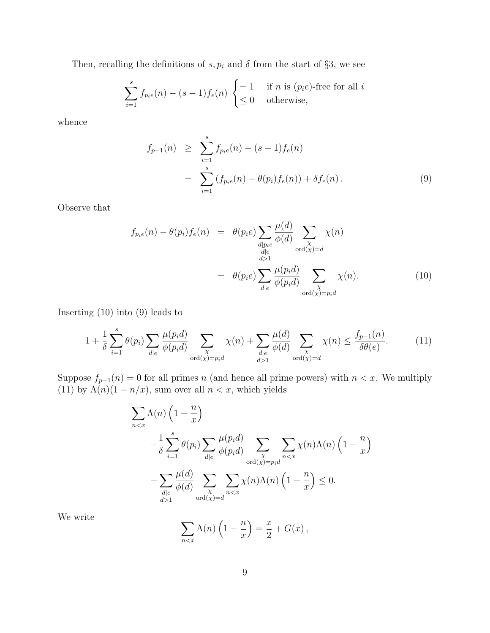Then, recalling the definitions of  $s, p_i$  and  $\delta$  from the start of §3, we see

$$
\sum_{i=1}^{s} f_{p_i e}(n) - (s-1) f_e(n) \begin{cases} = 1 & \text{if } n \text{ is } (p_i e)\text{-free for all } i\\ \leq 0 & \text{otherwise,} \end{cases}
$$

whence

$$
f_{p-1}(n) \geq \sum_{i=1}^{s} f_{p_i e}(n) - (s-1) f_e(n)
$$
  
= 
$$
\sum_{i=1}^{s} (f_{p_i e}(n) - \theta(p_i) f_e(n)) + \delta f_e(n).
$$
 (9)

Observe that

$$
f_{p_ie}(n) - \theta(p_i) f_e(n) = \theta(p_ie) \sum_{\substack{d|p_ie \ d\geq 1}} \frac{\mu(d)}{\phi(d)} \sum_{\substack{\chi \text{ord}(\chi) = d}} \chi(n)
$$
  

$$
= \theta(p_ie) \sum_{\substack{d|e \ d\geq 1}} \frac{\mu(p_id)}{\phi(p_id)} \sum_{\substack{\chi \text{ord}(\chi) = p_id}} \chi(n).
$$
 (10)

Inserting (10) into (9) leads to

$$
1 + \frac{1}{\delta} \sum_{i=1}^{s} \theta(p_i) \sum_{d|e} \frac{\mu(p_i d)}{\phi(p_i d)} \sum_{\substack{\chi \\ \text{ord}(\chi) = p_i d}} \chi(n) + \sum_{\substack{d|e \\ d>1}} \frac{\mu(d)}{\phi(d)} \sum_{\substack{\chi \\ \text{ord}(\chi) = d}} \chi(n) \le \frac{f_{p-1}(n)}{\delta \theta(e)}.
$$
 (11)

Suppose  $f_{p-1}(n) = 0$  for all primes n (and hence all prime powers) with  $n < x$ . We multiply (11) by  $\Lambda(n)(1 - n/x)$ , sum over all  $n < x$ , which yields

$$
\sum_{n < x} \Lambda(n) \left( 1 - \frac{n}{x} \right)
$$
\n
$$
+ \frac{1}{\delta} \sum_{i=1}^{s} \theta(p_i) \sum_{d|e} \frac{\mu(p_i d)}{\phi(p_i d)} \sum_{\substack{\chi \\ \text{ord}(\chi) = p_i d}} \sum_{n < x} \chi(n) \Lambda(n) \left( 1 - \frac{n}{x} \right)
$$
\n
$$
+ \sum_{\substack{d|e \\ d > 1}} \frac{\mu(d)}{\phi(d)} \sum_{\substack{\chi \\ \text{ord}(\chi) = d}} \sum_{n < x} \chi(n) \Lambda(n) \left( 1 - \frac{n}{x} \right) \leq 0.
$$

We write

$$
\sum_{n < x} \Lambda(n) \left( 1 - \frac{n}{x} \right) = \frac{x}{2} + G(x) \,,
$$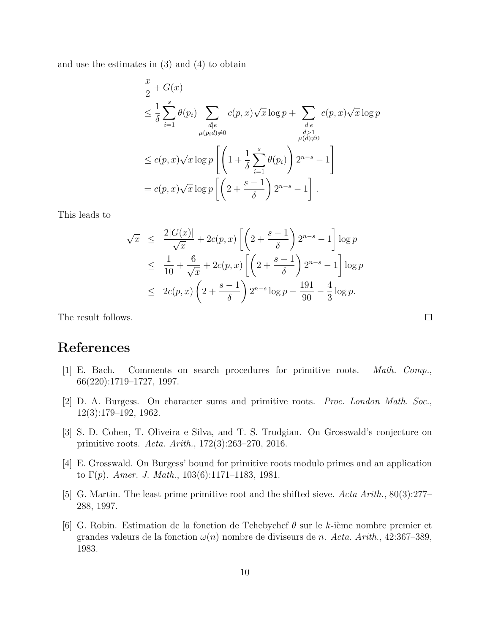and use the estimates in (3) and (4) to obtain

$$
\frac{x}{2} + G(x)
$$
\n
$$
\leq \frac{1}{\delta} \sum_{i=1}^{s} \theta(p_i) \sum_{\substack{d|e \\ \mu(p_i d) \neq 0}} c(p, x) \sqrt{x} \log p + \sum_{\substack{d|e \\ d>1 \\ \mu(d) \neq 0}} c(p, x) \sqrt{x} \log p
$$
\n
$$
\leq c(p, x) \sqrt{x} \log p \left[ \left( 1 + \frac{1}{\delta} \sum_{i=1}^{s} \theta(p_i) \right) 2^{n-s} - 1 \right]
$$
\n
$$
= c(p, x) \sqrt{x} \log p \left[ \left( 2 + \frac{s-1}{\delta} \right) 2^{n-s} - 1 \right].
$$

This leads to

$$
\sqrt{x} \le \frac{2|G(x)|}{\sqrt{x}} + 2c(p, x) \left[ \left( 2 + \frac{s-1}{\delta} \right) 2^{n-s} - 1 \right] \log p
$$
  
\n
$$
\le \frac{1}{10} + \frac{6}{\sqrt{x}} + 2c(p, x) \left[ \left( 2 + \frac{s-1}{\delta} \right) 2^{n-s} - 1 \right] \log p
$$
  
\n
$$
\le 2c(p, x) \left( 2 + \frac{s-1}{\delta} \right) 2^{n-s} \log p - \frac{191}{90} - \frac{4}{3} \log p.
$$

The result follows.

# References

- [1] E. Bach. Comments on search procedures for primitive roots. Math. Comp., 66(220):1719–1727, 1997.
- [2] D. A. Burgess. On character sums and primitive roots. Proc. London Math. Soc., 12(3):179–192, 1962.
- [3] S. D. Cohen, T. Oliveira e Silva, and T. S. Trudgian. On Grosswald's conjecture on primitive roots. Acta. Arith., 172(3):263–270, 2016.
- [4] E. Grosswald. On Burgess' bound for primitive roots modulo primes and an application to  $\Gamma(p)$ . Amer. J. Math., 103(6):1171–1183, 1981.
- [5] G. Martin. The least prime primitive root and the shifted sieve. Acta Arith., 80(3):277– 288, 1997.
- [6] G. Robin. Estimation de la fonction de Tchebychef  $\theta$  sur le k-ième nombre premier et grandes valeurs de la fonction  $\omega(n)$  nombre de diviseurs de n. Acta. Arith., 42:367-389, 1983.

 $\Box$